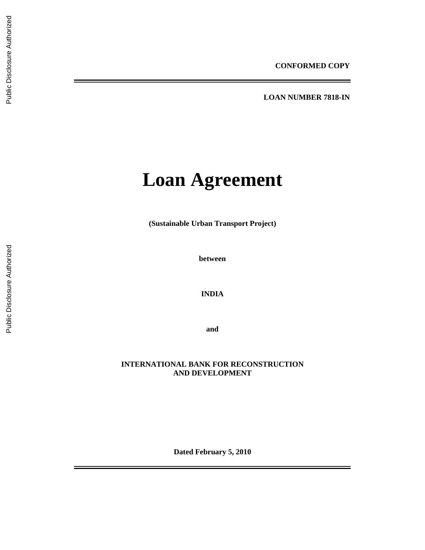**LOAN NUMBER 7818-IN** 

# **Loan Agreement**

**(Sustainable Urban Transport Project)** 

**between** 

**INDIA** 

**and** 

# **INTERNATIONAL BANK FOR RECONSTRUCTION AND DEVELOPMENT**

**Dated February 5, 2010**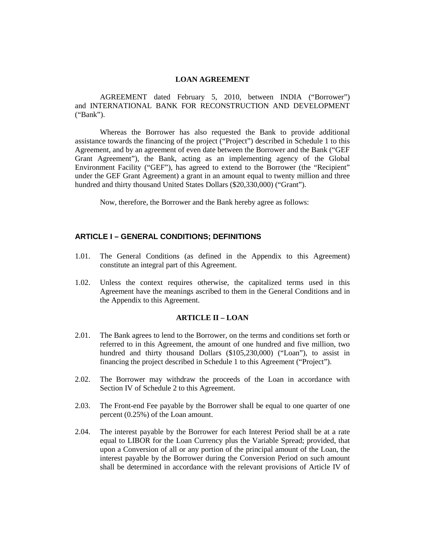# **LOAN AGREEMENT**

AGREEMENT dated February 5, 2010, between INDIA ("Borrower") and INTERNATIONAL BANK FOR RECONSTRUCTION AND DEVELOPMENT ("Bank").

Whereas the Borrower has also requested the Bank to provide additional assistance towards the financing of the project ("Project") described in Schedule 1 to this Agreement, and by an agreement of even date between the Borrower and the Bank ("GEF Grant Agreement"), the Bank, acting as an implementing agency of the Global Environment Facility ("GEF"), has agreed to extend to the Borrower (the "Recipient" under the GEF Grant Agreement) a grant in an amount equal to twenty million and three hundred and thirty thousand United States Dollars (\$20,330,000) ("Grant").

Now, therefore, the Borrower and the Bank hereby agree as follows:

# **ARTICLE I – GENERAL CONDITIONS; DEFINITIONS**

- 1.01. The General Conditions (as defined in the Appendix to this Agreement) constitute an integral part of this Agreement.
- 1.02. Unless the context requires otherwise, the capitalized terms used in this Agreement have the meanings ascribed to them in the General Conditions and in the Appendix to this Agreement.

## **ARTICLE II – LOAN**

- 2.01. The Bank agrees to lend to the Borrower, on the terms and conditions set forth or referred to in this Agreement, the amount of one hundred and five million, two hundred and thirty thousand Dollars (\$105,230,000) ("Loan"), to assist in financing the project described in Schedule 1 to this Agreement ("Project").
- 2.02. The Borrower may withdraw the proceeds of the Loan in accordance with Section IV of Schedule 2 to this Agreement.
- 2.03. The Front-end Fee payable by the Borrower shall be equal to one quarter of one percent (0.25%) of the Loan amount.
- 2.04. The interest payable by the Borrower for each Interest Period shall be at a rate equal to LIBOR for the Loan Currency plus the Variable Spread; provided, that upon a Conversion of all or any portion of the principal amount of the Loan, the interest payable by the Borrower during the Conversion Period on such amount shall be determined in accordance with the relevant provisions of Article IV of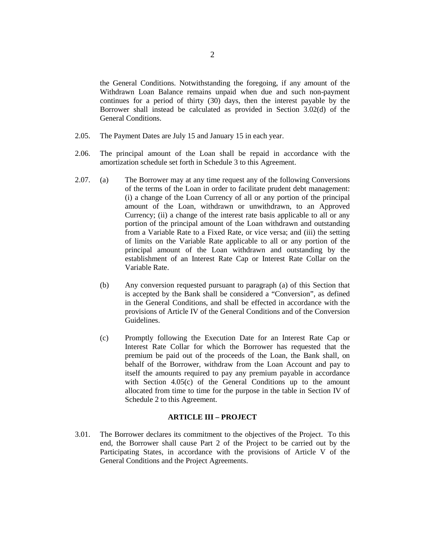the General Conditions. Notwithstanding the foregoing, if any amount of the Withdrawn Loan Balance remains unpaid when due and such non-payment continues for a period of thirty (30) days, then the interest payable by the Borrower shall instead be calculated as provided in Section 3.02(d) of the General Conditions.

- 2.05. The Payment Dates are July 15 and January 15 in each year.
- 2.06. The principal amount of the Loan shall be repaid in accordance with the amortization schedule set forth in Schedule 3 to this Agreement.
- 2.07. (a) The Borrower may at any time request any of the following Conversions of the terms of the Loan in order to facilitate prudent debt management: (i) a change of the Loan Currency of all or any portion of the principal amount of the Loan, withdrawn or unwithdrawn, to an Approved Currency; (ii) a change of the interest rate basis applicable to all or any portion of the principal amount of the Loan withdrawn and outstanding from a Variable Rate to a Fixed Rate, or vice versa; and (iii) the setting of limits on the Variable Rate applicable to all or any portion of the principal amount of the Loan withdrawn and outstanding by the establishment of an Interest Rate Cap or Interest Rate Collar on the Variable Rate.
	- (b) Any conversion requested pursuant to paragraph (a) of this Section that is accepted by the Bank shall be considered a "Conversion", as defined in the General Conditions, and shall be effected in accordance with the provisions of Article IV of the General Conditions and of the Conversion Guidelines.
	- (c) Promptly following the Execution Date for an Interest Rate Cap or Interest Rate Collar for which the Borrower has requested that the premium be paid out of the proceeds of the Loan, the Bank shall, on behalf of the Borrower, withdraw from the Loan Account and pay to itself the amounts required to pay any premium payable in accordance with Section 4.05(c) of the General Conditions up to the amount allocated from time to time for the purpose in the table in Section IV of Schedule 2 to this Agreement.

## **ARTICLE III – PROJECT**

3.01. The Borrower declares its commitment to the objectives of the Project. To this end, the Borrower shall cause Part 2 of the Project to be carried out by the Participating States, in accordance with the provisions of Article V of the General Conditions and the Project Agreements.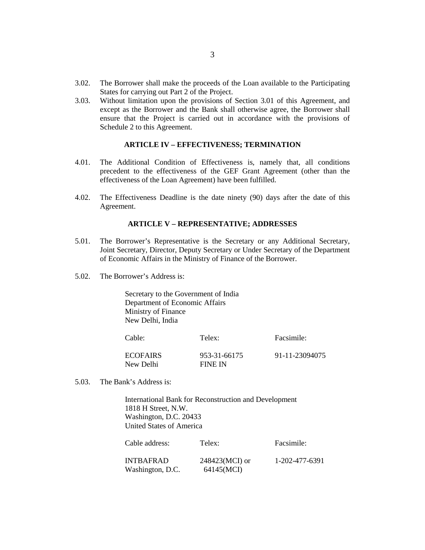- 3.02. The Borrower shall make the proceeds of the Loan available to the Participating States for carrying out Part 2 of the Project.
- 3.03. Without limitation upon the provisions of Section 3.01 of this Agreement, and except as the Borrower and the Bank shall otherwise agree, the Borrower shall ensure that the Project is carried out in accordance with the provisions of Schedule 2 to this Agreement.

# **ARTICLE IV – EFFECTIVENESS; TERMINATION**

- 4.01. The Additional Condition of Effectiveness is, namely that, all conditions precedent to the effectiveness of the GEF Grant Agreement (other than the effectiveness of the Loan Agreement) have been fulfilled.
- 4.02. The Effectiveness Deadline is the date ninety (90) days after the date of this Agreement.

#### **ARTICLE V – REPRESENTATIVE; ADDRESSES**

- 5.01. The Borrower's Representative is the Secretary or any Additional Secretary, Joint Secretary, Director, Deputy Secretary or Under Secretary of the Department of Economic Affairs in the Ministry of Finance of the Borrower.
- 5.02. The Borrower's Address is:

Secretary to the Government of India Department of Economic Affairs Ministry of Finance New Delhi, India

| Cable:                 | Telex:                  | Facsimile:     |
|------------------------|-------------------------|----------------|
| ECOFAIRS.<br>New Delhi | 953-31-66175<br>FINE IN | 91-11-23094075 |

5.03. The Bank's Address is:

International Bank for Reconstruction and Development 1818 H Street, N.W. Washington, D.C. 20433 United States of America

| Cable address:   | Telex:         | Facsimile:     |
|------------------|----------------|----------------|
| INTBAFRAD        | 248423(MCI) or | 1-202-477-6391 |
| Washington, D.C. | 64145(MCI)     |                |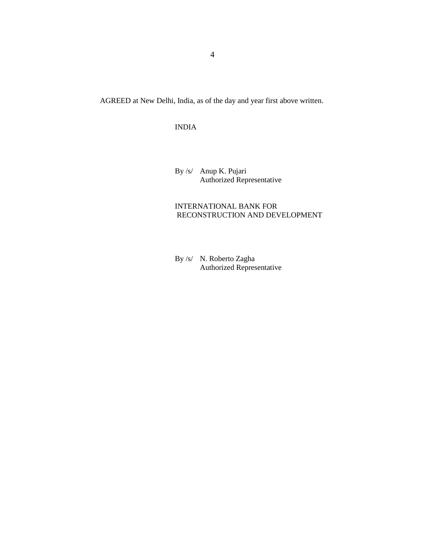AGREED at New Delhi, India, as of the day and year first above written.

# INDIA

By /s/ Anup K. Pujari Authorized Representative

# INTERNATIONAL BANK FOR RECONSTRUCTION AND DEVELOPMENT

By /s/ N. Roberto Zagha Authorized Representative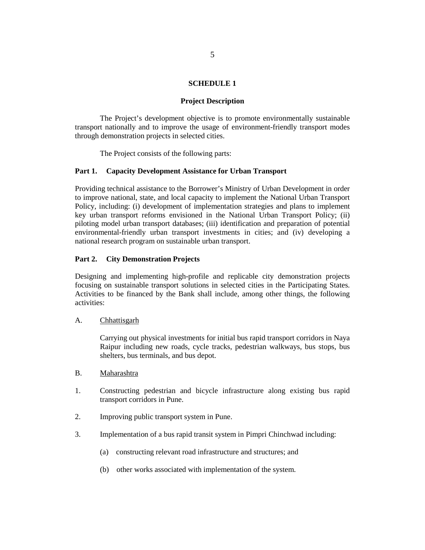#### **SCHEDULE 1**

## **Project Description**

The Project's development objective is to promote environmentally sustainable transport nationally and to improve the usage of environment-friendly transport modes through demonstration projects in selected cities.

The Project consists of the following parts:

#### **Part 1. Capacity Development Assistance for Urban Transport**

Providing technical assistance to the Borrower's Ministry of Urban Development in order to improve national, state, and local capacity to implement the National Urban Transport Policy, including: (i) development of implementation strategies and plans to implement key urban transport reforms envisioned in the National Urban Transport Policy; (ii) piloting model urban transport databases; (iii) identification and preparation of potential environmental-friendly urban transport investments in cities; and (iv) developing a national research program on sustainable urban transport.

#### **Part 2. City Demonstration Projects**

Designing and implementing high-profile and replicable city demonstration projects focusing on sustainable transport solutions in selected cities in the Participating States. Activities to be financed by the Bank shall include, among other things, the following activities:

#### A. Chhattisgarh

Carrying out physical investments for initial bus rapid transport corridors in Naya Raipur including new roads, cycle tracks, pedestrian walkways, bus stops, bus shelters, bus terminals, and bus depot.

- B. Maharashtra
- 1. Constructing pedestrian and bicycle infrastructure along existing bus rapid transport corridors in Pune.
- 2. Improving public transport system in Pune.
- 3. Implementation of a bus rapid transit system in Pimpri Chinchwad including:
	- (a) constructing relevant road infrastructure and structures; and
	- (b) other works associated with implementation of the system.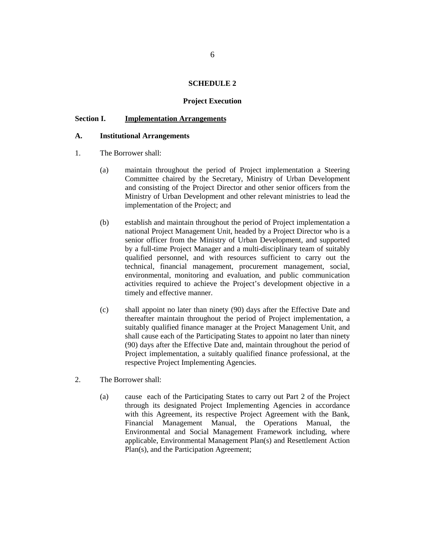#### **SCHEDULE 2**

## **Project Execution**

## **Section I. Implementation Arrangements**

## **A. Institutional Arrangements**

- 1. The Borrower shall:
	- (a) maintain throughout the period of Project implementation a Steering Committee chaired by the Secretary, Ministry of Urban Development and consisting of the Project Director and other senior officers from the Ministry of Urban Development and other relevant ministries to lead the implementation of the Project; and
	- (b) establish and maintain throughout the period of Project implementation a national Project Management Unit, headed by a Project Director who is a senior officer from the Ministry of Urban Development, and supported by a full-time Project Manager and a multi-disciplinary team of suitably qualified personnel, and with resources sufficient to carry out the technical, financial management, procurement management, social, environmental, monitoring and evaluation, and public communication activities required to achieve the Project's development objective in a timely and effective manner.
	- (c) shall appoint no later than ninety (90) days after the Effective Date and thereafter maintain throughout the period of Project implementation, a suitably qualified finance manager at the Project Management Unit, and shall cause each of the Participating States to appoint no later than ninety (90) days after the Effective Date and, maintain throughout the period of Project implementation, a suitably qualified finance professional, at the respective Project Implementing Agencies.
- 2. The Borrower shall:
	- (a) cause each of the Participating States to carry out Part 2 of the Project through its designated Project Implementing Agencies in accordance with this Agreement, its respective Project Agreement with the Bank, Financial Management Manual, the Operations Manual, the Environmental and Social Management Framework including, where applicable, Environmental Management Plan(s) and Resettlement Action Plan(s), and the Participation Agreement;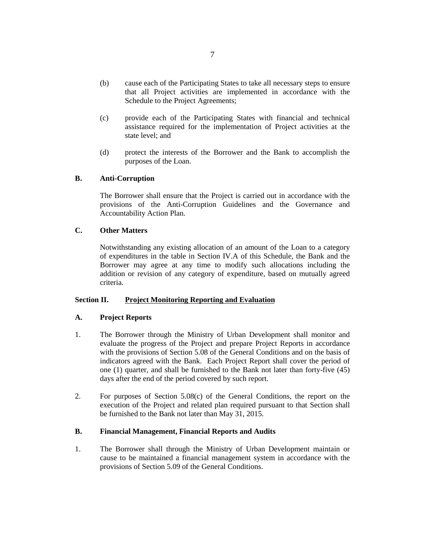- (b) cause each of the Participating States to take all necessary steps to ensure that all Project activities are implemented in accordance with the Schedule to the Project Agreements;
- (c) provide each of the Participating States with financial and technical assistance required for the implementation of Project activities at the state level; and
- (d) protect the interests of the Borrower and the Bank to accomplish the purposes of the Loan.

# **B. Anti-Corruption**

 The Borrower shall ensure that the Project is carried out in accordance with the provisions of the Anti-Corruption Guidelines and the Governance and Accountability Action Plan.

# **C. Other Matters**

Notwithstanding any existing allocation of an amount of the Loan to a category of expenditures in the table in Section IV.A of this Schedule, the Bank and the Borrower may agree at any time to modify such allocations including the addition or revision of any category of expenditure, based on mutually agreed criteria.

# **Section II. Project Monitoring Reporting and Evaluation**

## **A. Project Reports**

- 1. The Borrower through the Ministry of Urban Development shall monitor and evaluate the progress of the Project and prepare Project Reports in accordance with the provisions of Section 5.08 of the General Conditions and on the basis of indicators agreed with the Bank. Each Project Report shall cover the period of one (1) quarter, and shall be furnished to the Bank not later than forty-five (45) days after the end of the period covered by such report.
- 2. For purposes of Section 5.08(c) of the General Conditions, the report on the execution of the Project and related plan required pursuant to that Section shall be furnished to the Bank not later than May 31, 2015.

# **B. Financial Management, Financial Reports and Audits**

1. The Borrower shall through the Ministry of Urban Development maintain or cause to be maintained a financial management system in accordance with the provisions of Section 5.09 of the General Conditions.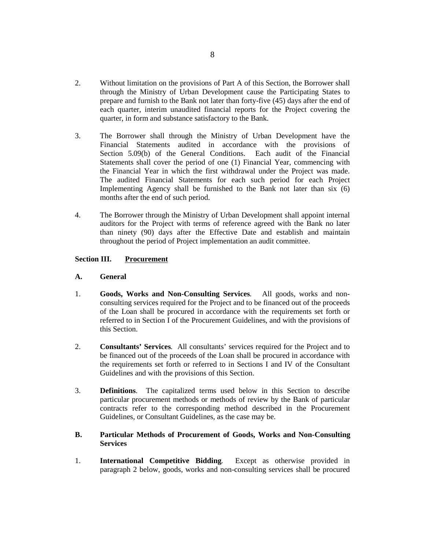- 2. Without limitation on the provisions of Part A of this Section, the Borrower shall through the Ministry of Urban Development cause the Participating States to prepare and furnish to the Bank not later than forty-five (45) days after the end of each quarter, interim unaudited financial reports for the Project covering the quarter, in form and substance satisfactory to the Bank.
- 3. The Borrower shall through the Ministry of Urban Development have the Financial Statements audited in accordance with the provisions of Section 5.09(b) of the General Conditions. Each audit of the Financial Statements shall cover the period of one (1) Financial Year, commencing with the Financial Year in which the first withdrawal under the Project was made. The audited Financial Statements for each such period for each Project Implementing Agency shall be furnished to the Bank not later than six (6) months after the end of such period.
- 4. The Borrower through the Ministry of Urban Development shall appoint internal auditors for the Project with terms of reference agreed with the Bank no later than ninety (90) days after the Effective Date and establish and maintain throughout the period of Project implementation an audit committee.

# **Section III. Procurement**

## **A. General**

- 1. **Goods, Works and Non-Consulting Services**. All goods, works and nonconsulting services required for the Project and to be financed out of the proceeds of the Loan shall be procured in accordance with the requirements set forth or referred to in Section I of the Procurement Guidelines, and with the provisions of this Section.
- 2. **Consultants' Services**. All consultants' services required for the Project and to be financed out of the proceeds of the Loan shall be procured in accordance with the requirements set forth or referred to in Sections I and IV of the Consultant Guidelines and with the provisions of this Section.
- 3. **Definitions**. The capitalized terms used below in this Section to describe particular procurement methods or methods of review by the Bank of particular contracts refer to the corresponding method described in the Procurement Guidelines, or Consultant Guidelines, as the case may be.

# **B. Particular Methods of Procurement of Goods, Works and Non-Consulting Services**

1. **International Competitive Bidding**. Except as otherwise provided in paragraph 2 below, goods, works and non-consulting services shall be procured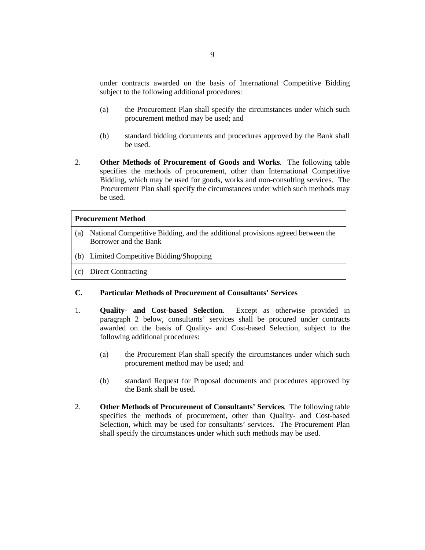under contracts awarded on the basis of International Competitive Bidding subject to the following additional procedures:

- (a) the Procurement Plan shall specify the circumstances under which such procurement method may be used; and
- (b) standard bidding documents and procedures approved by the Bank shall be used.
- 2. **Other Methods of Procurement of Goods and Works**. The following table specifies the methods of procurement, other than International Competitive Bidding, which may be used for goods, works and non-consulting services. The Procurement Plan shall specify the circumstances under which such methods may be used.

## **Procurement Method**

- (a) National Competitive Bidding, and the additional provisions agreed between the Borrower and the Bank
- (b) Limited Competitive Bidding/Shopping
- (c) Direct Contracting

#### **C. Particular Methods of Procurement of Consultants' Services**

- 1. **Quality- and Cost-based Selection**. Except as otherwise provided in paragraph 2 below, consultants' services shall be procured under contracts awarded on the basis of Quality- and Cost-based Selection, subject to the following additional procedures:
	- (a) the Procurement Plan shall specify the circumstances under which such procurement method may be used; and
	- (b) standard Request for Proposal documents and procedures approved by the Bank shall be used.
- 2. **Other Methods of Procurement of Consultants' Services**. The following table specifies the methods of procurement, other than Quality- and Cost-based Selection, which may be used for consultants' services. The Procurement Plan shall specify the circumstances under which such methods may be used.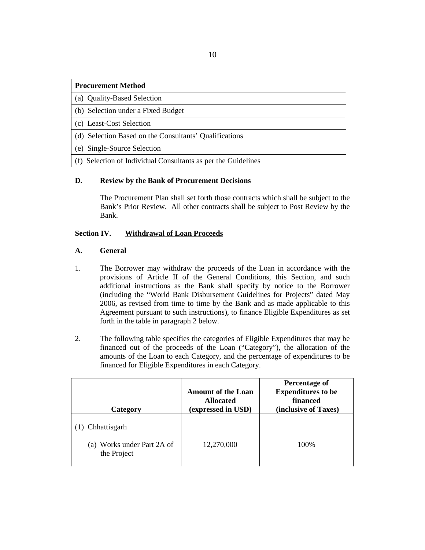# **Procurement Method**

(a) Quality-Based Selection

(b) Selection under a Fixed Budget

(c) Least-Cost Selection

(d) Selection Based on the Consultants' Qualifications

(e) Single-Source Selection

(f) Selection of Individual Consultants as per the Guidelines

# **D. Review by the Bank of Procurement Decisions**

The Procurement Plan shall set forth those contracts which shall be subject to the Bank's Prior Review. All other contracts shall be subject to Post Review by the Bank.

# **Section IV. Withdrawal of Loan Proceeds**

# **A. General**

- 1. The Borrower may withdraw the proceeds of the Loan in accordance with the provisions of Article II of the General Conditions, this Section, and such additional instructions as the Bank shall specify by notice to the Borrower (including the "World Bank Disbursement Guidelines for Projects" dated May 2006, as revised from time to time by the Bank and as made applicable to this Agreement pursuant to such instructions), to finance Eligible Expenditures as set forth in the table in paragraph 2 below.
- 2. The following table specifies the categories of Eligible Expenditures that may be financed out of the proceeds of the Loan ("Category"), the allocation of the amounts of the Loan to each Category, and the percentage of expenditures to be financed for Eligible Expenditures in each Category.

| Category                                  | <b>Amount of the Loan</b><br><b>Allocated</b><br>(expressed in USD) | Percentage of<br><b>Expenditures to be</b><br>financed<br>(inclusive of Taxes) |
|-------------------------------------------|---------------------------------------------------------------------|--------------------------------------------------------------------------------|
| (1) Chhattisgarh                          |                                                                     |                                                                                |
| (a) Works under Part 2A of<br>the Project | 12,270,000                                                          | 100%                                                                           |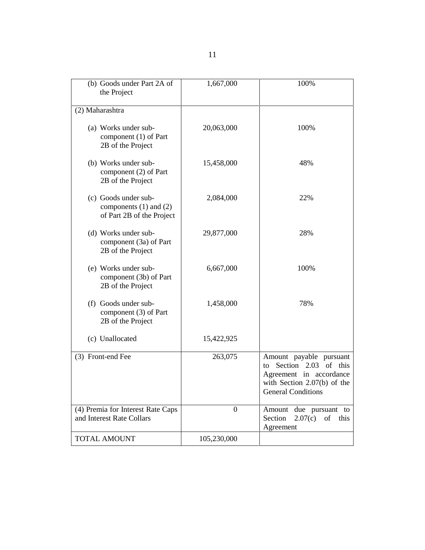| (b) Goods under Part 2A of<br>the Project                                       | 1,667,000        | 100%                                                                                                                                           |
|---------------------------------------------------------------------------------|------------------|------------------------------------------------------------------------------------------------------------------------------------------------|
| (2) Maharashtra                                                                 |                  |                                                                                                                                                |
| (a) Works under sub-<br>component (1) of Part<br>2B of the Project              | 20,063,000       | 100%                                                                                                                                           |
| (b) Works under sub-<br>component (2) of Part<br>2B of the Project              | 15,458,000       | 48%                                                                                                                                            |
| (c) Goods under sub-<br>components $(1)$ and $(2)$<br>of Part 2B of the Project | 2,084,000        | 22%                                                                                                                                            |
| (d) Works under sub-<br>component (3a) of Part<br>2B of the Project             | 29,877,000       | 28%                                                                                                                                            |
| (e) Works under sub-<br>component (3b) of Part<br>2B of the Project             | 6,667,000        | 100%                                                                                                                                           |
| (f) Goods under sub-<br>component (3) of Part<br>2B of the Project              | 1,458,000        | 78%                                                                                                                                            |
| (c) Unallocated                                                                 | 15,422,925       |                                                                                                                                                |
| (3) Front-end Fee                                                               | 263,075          | Amount payable pursuant<br>Section 2.03 of this<br>to<br>Agreement in accordance<br>with Section $2.07(b)$ of the<br><b>General Conditions</b> |
| (4) Premia for Interest Rate Caps<br>and Interest Rate Collars                  | $\boldsymbol{0}$ | Amount due pursuant to<br>Section<br>2.07(c)<br>of<br>this<br>Agreement                                                                        |
| <b>TOTAL AMOUNT</b>                                                             | 105,230,000      |                                                                                                                                                |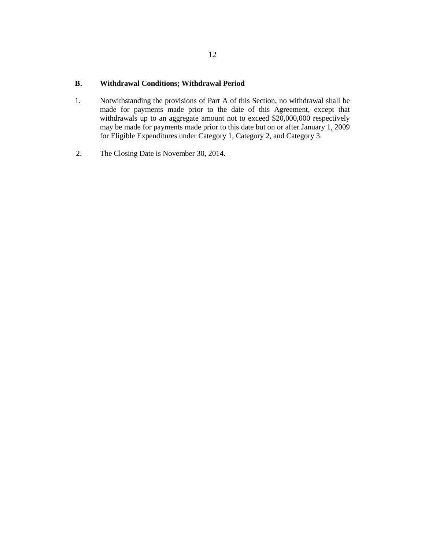# **B. Withdrawal Conditions; Withdrawal Period**

- 1. Notwithstanding the provisions of Part A of this Section, no withdrawal shall be made for payments made prior to the date of this Agreement, except that withdrawals up to an aggregate amount not to exceed \$20,000,000 respectively may be made for payments made prior to this date but on or after January 1, 2009 for Eligible Expenditures under Category 1, Category 2, and Category 3.
- 2. The Closing Date is November 30, 2014.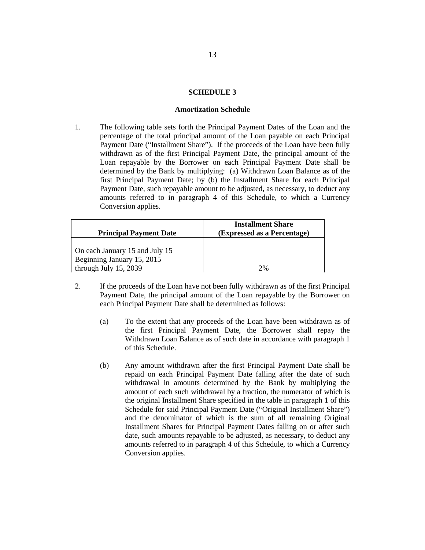## **SCHEDULE 3**

#### **Amortization Schedule**

1. The following table sets forth the Principal Payment Dates of the Loan and the percentage of the total principal amount of the Loan payable on each Principal Payment Date ("Installment Share"). If the proceeds of the Loan have been fully withdrawn as of the first Principal Payment Date, the principal amount of the Loan repayable by the Borrower on each Principal Payment Date shall be determined by the Bank by multiplying: (a) Withdrawn Loan Balance as of the first Principal Payment Date; by (b) the Installment Share for each Principal Payment Date, such repayable amount to be adjusted, as necessary, to deduct any amounts referred to in paragraph 4 of this Schedule, to which a Currency Conversion applies.

|                                | <b>Installment Share</b>    |
|--------------------------------|-----------------------------|
| <b>Principal Payment Date</b>  | (Expressed as a Percentage) |
|                                |                             |
| On each January 15 and July 15 |                             |
| Beginning January 15, 2015     |                             |
| through July 15, 2039          | 2%                          |

- 2. If the proceeds of the Loan have not been fully withdrawn as of the first Principal Payment Date, the principal amount of the Loan repayable by the Borrower on each Principal Payment Date shall be determined as follows:
	- (a) To the extent that any proceeds of the Loan have been withdrawn as of the first Principal Payment Date, the Borrower shall repay the Withdrawn Loan Balance as of such date in accordance with paragraph 1 of this Schedule.
	- (b) Any amount withdrawn after the first Principal Payment Date shall be repaid on each Principal Payment Date falling after the date of such withdrawal in amounts determined by the Bank by multiplying the amount of each such withdrawal by a fraction, the numerator of which is the original Installment Share specified in the table in paragraph 1 of this Schedule for said Principal Payment Date ("Original Installment Share") and the denominator of which is the sum of all remaining Original Installment Shares for Principal Payment Dates falling on or after such date, such amounts repayable to be adjusted, as necessary, to deduct any amounts referred to in paragraph 4 of this Schedule, to which a Currency Conversion applies.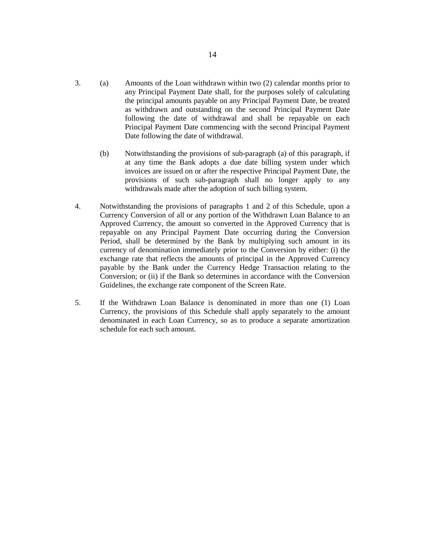- 3. (a) Amounts of the Loan withdrawn within two (2) calendar months prior to any Principal Payment Date shall, for the purposes solely of calculating the principal amounts payable on any Principal Payment Date, be treated as withdrawn and outstanding on the second Principal Payment Date following the date of withdrawal and shall be repayable on each Principal Payment Date commencing with the second Principal Payment Date following the date of withdrawal.
	- (b) Notwithstanding the provisions of sub-paragraph (a) of this paragraph, if at any time the Bank adopts a due date billing system under which invoices are issued on or after the respective Principal Payment Date, the provisions of such sub-paragraph shall no longer apply to any withdrawals made after the adoption of such billing system.
- 4. Notwithstanding the provisions of paragraphs 1 and 2 of this Schedule, upon a Currency Conversion of all or any portion of the Withdrawn Loan Balance to an Approved Currency, the amount so converted in the Approved Currency that is repayable on any Principal Payment Date occurring during the Conversion Period, shall be determined by the Bank by multiplying such amount in its currency of denomination immediately prior to the Conversion by either: (i) the exchange rate that reflects the amounts of principal in the Approved Currency payable by the Bank under the Currency Hedge Transaction relating to the Conversion; or (ii) if the Bank so determines in accordance with the Conversion Guidelines, the exchange rate component of the Screen Rate.
- 5. If the Withdrawn Loan Balance is denominated in more than one (1) Loan Currency, the provisions of this Schedule shall apply separately to the amount denominated in each Loan Currency, so as to produce a separate amortization schedule for each such amount.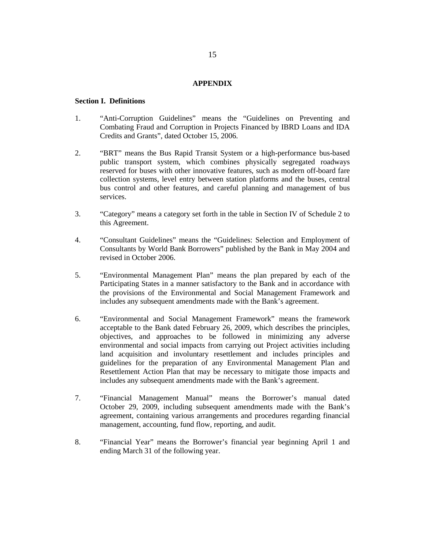## **APPENDIX**

#### **Section I. Definitions**

- 1. "Anti-Corruption Guidelines" means the "Guidelines on Preventing and Combating Fraud and Corruption in Projects Financed by IBRD Loans and IDA Credits and Grants", dated October 15, 2006.
- 2. "BRT" means the Bus Rapid Transit System or a high-performance bus-based public transport system, which combines physically segregated roadways reserved for buses with other innovative features, such as modern off-board fare collection systems, level entry between station platforms and the buses, central bus control and other features, and careful planning and management of bus services.
- 3. "Category" means a category set forth in the table in Section IV of Schedule 2 to this Agreement.
- 4. "Consultant Guidelines" means the "Guidelines: Selection and Employment of Consultants by World Bank Borrowers" published by the Bank in May 2004 and revised in October 2006.
- 5. "Environmental Management Plan" means the plan prepared by each of the Participating States in a manner satisfactory to the Bank and in accordance with the provisions of the Environmental and Social Management Framework and includes any subsequent amendments made with the Bank's agreement.
- 6. "Environmental and Social Management Framework" means the framework acceptable to the Bank dated February 26, 2009, which describes the principles, objectives, and approaches to be followed in minimizing any adverse environmental and social impacts from carrying out Project activities including land acquisition and involuntary resettlement and includes principles and guidelines for the preparation of any Environmental Management Plan and Resettlement Action Plan that may be necessary to mitigate those impacts and includes any subsequent amendments made with the Bank's agreement.
- 7. "Financial Management Manual" means the Borrower's manual dated October 29, 2009, including subsequent amendments made with the Bank's agreement, containing various arrangements and procedures regarding financial management, accounting, fund flow, reporting, and audit.
- 8. "Financial Year" means the Borrower's financial year beginning April 1 and ending March 31 of the following year.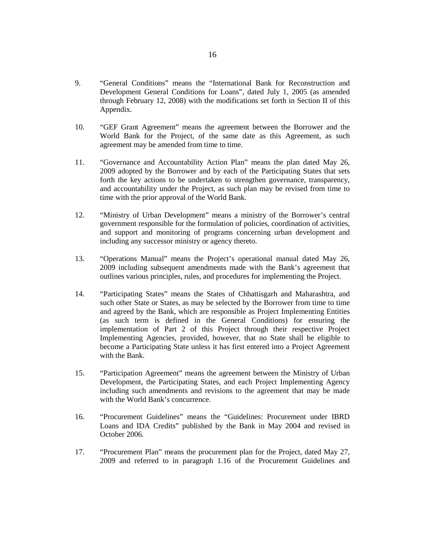- 9. "General Conditions" means the "International Bank for Reconstruction and Development General Conditions for Loans", dated July 1, 2005 (as amended through February 12, 2008) with the modifications set forth in Section II of this Appendix.
- 10. "GEF Grant Agreement" means the agreement between the Borrower and the World Bank for the Project, of the same date as this Agreement, as such agreement may be amended from time to time.
- 11. "Governance and Accountability Action Plan" means the plan dated May 26, 2009 adopted by the Borrower and by each of the Participating States that sets forth the key actions to be undertaken to strengthen governance, transparency, and accountability under the Project, as such plan may be revised from time to time with the prior approval of the World Bank.
- 12. "Ministry of Urban Development" means a ministry of the Borrower's central government responsible for the formulation of policies, coordination of activities, and support and monitoring of programs concerning urban development and including any successor ministry or agency thereto.
- 13. "Operations Manual" means the Project's operational manual dated May 26, 2009 including subsequent amendments made with the Bank's agreement that outlines various principles, rules, and procedures for implementing the Project.
- 14. "Participating States" means the States of Chhattisgarh and Maharashtra, and such other State or States, as may be selected by the Borrower from time to time and agreed by the Bank, which are responsible as Project Implementing Entities (as such term is defined in the General Conditions) for ensuring the implementation of Part 2 of this Project through their respective Project Implementing Agencies, provided, however, that no State shall be eligible to become a Participating State unless it has first entered into a Project Agreement with the Bank.
- 15. "Participation Agreement" means the agreement between the Ministry of Urban Development, the Participating States, and each Project Implementing Agency including such amendments and revisions to the agreement that may be made with the World Bank's concurrence.
- 16. "Procurement Guidelines" means the "Guidelines: Procurement under IBRD Loans and IDA Credits" published by the Bank in May 2004 and revised in October 2006.
- 17. "Procurement Plan" means the procurement plan for the Project, dated May 27, 2009 and referred to in paragraph 1.16 of the Procurement Guidelines and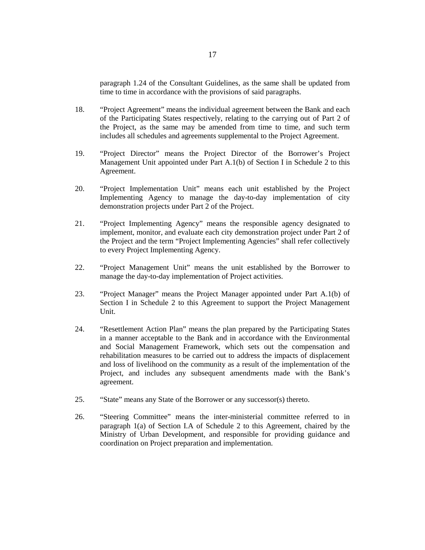paragraph 1.24 of the Consultant Guidelines, as the same shall be updated from time to time in accordance with the provisions of said paragraphs.

- 18. "Project Agreement" means the individual agreement between the Bank and each of the Participating States respectively, relating to the carrying out of Part 2 of the Project, as the same may be amended from time to time, and such term includes all schedules and agreements supplemental to the Project Agreement.
- 19. "Project Director" means the Project Director of the Borrower's Project Management Unit appointed under Part A.1(b) of Section I in Schedule 2 to this Agreement.
- 20. "Project Implementation Unit" means each unit established by the Project Implementing Agency to manage the day-to-day implementation of city demonstration projects under Part 2 of the Project.
- 21. "Project Implementing Agency" means the responsible agency designated to implement, monitor, and evaluate each city demonstration project under Part 2 of the Project and the term "Project Implementing Agencies" shall refer collectively to every Project Implementing Agency.
- 22. "Project Management Unit" means the unit established by the Borrower to manage the day-to-day implementation of Project activities.
- 23. "Project Manager" means the Project Manager appointed under Part A.1(b) of Section I in Schedule 2 to this Agreement to support the Project Management Unit.
- 24. "Resettlement Action Plan" means the plan prepared by the Participating States in a manner acceptable to the Bank and in accordance with the Environmental and Social Management Framework, which sets out the compensation and rehabilitation measures to be carried out to address the impacts of displacement and loss of livelihood on the community as a result of the implementation of the Project, and includes any subsequent amendments made with the Bank's agreement.
- 25. "State" means any State of the Borrower or any successor(s) thereto.
- 26. "Steering Committee" means the inter-ministerial committee referred to in paragraph 1(a) of Section I.A of Schedule 2 to this Agreement, chaired by the Ministry of Urban Development, and responsible for providing guidance and coordination on Project preparation and implementation.